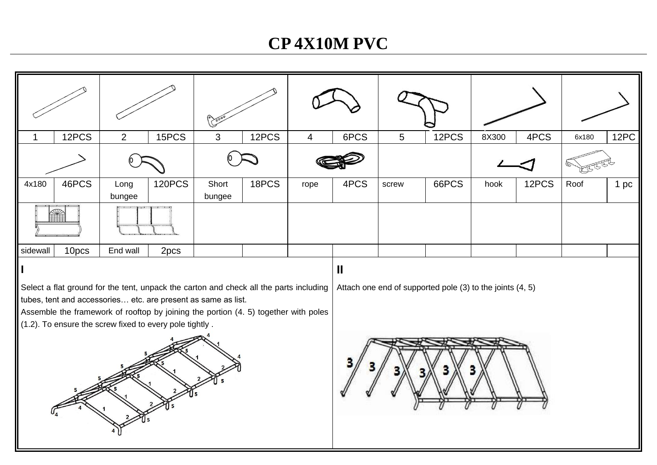# **CP 4X10M PVC**

| 1                                                                                                                                                                                                                                                                                                                                                                                      | 12PCS | $\overline{2}$ | 15PCS         | 3               | 12PCS | $\overline{4}$ | 6PCS | 5     | 12PCS | 8X300 | 4PCS  | 6x180 | 12PC |
|----------------------------------------------------------------------------------------------------------------------------------------------------------------------------------------------------------------------------------------------------------------------------------------------------------------------------------------------------------------------------------------|-------|----------------|---------------|-----------------|-------|----------------|------|-------|-------|-------|-------|-------|------|
|                                                                                                                                                                                                                                                                                                                                                                                        |       |                |               |                 |       |                |      |       |       |       |       |       |      |
| 4x180                                                                                                                                                                                                                                                                                                                                                                                  | 46PCS | Long<br>bungee | <b>120PCS</b> | Short<br>bungee | 18PCS | rope           | 4PCS | screw | 66PCS | hook  | 12PCS | Roof  | 1 pc |
|                                                                                                                                                                                                                                                                                                                                                                                        |       |                |               |                 |       |                |      |       |       |       |       |       |      |
| sidewall                                                                                                                                                                                                                                                                                                                                                                               | 10pcs | End wall       | 2pcs          |                 |       |                |      |       |       |       |       |       |      |
| $\mathbf{I}$<br>Select a flat ground for the tent, unpack the carton and check all the parts including<br>Attach one end of supported pole (3) to the joints (4, 5)<br>tubes, tent and accessories etc. are present as same as list.<br>Assemble the framework of rooftop by joining the portion (4. 5) together with poles<br>(1.2). To ensure the screw fixed to every pole tightly. |       |                |               |                 |       |                |      |       |       |       |       |       |      |
|                                                                                                                                                                                                                                                                                                                                                                                        |       |                |               |                 |       |                |      |       |       |       |       |       |      |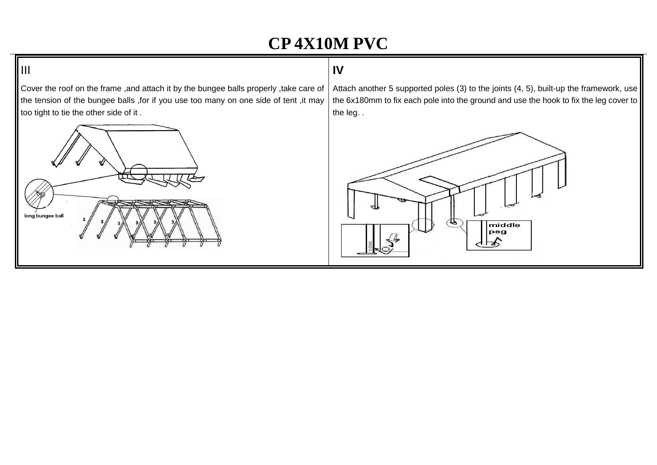# **CP 4X10M PVC**

### **IV**

Cover the roof on the frame ,and attach it by the bungee balls properly ,take care of the tension of the bungee balls ,for if you use too many on one side of tent ,it may too tight to tie the other side of it .



ll III.

Attach another 5 supported poles (3) to the joints (4, 5), built-up the framework, use the 6x180mm to fix each pole into the ground and use the hook to fix the leg cover to the leg. .